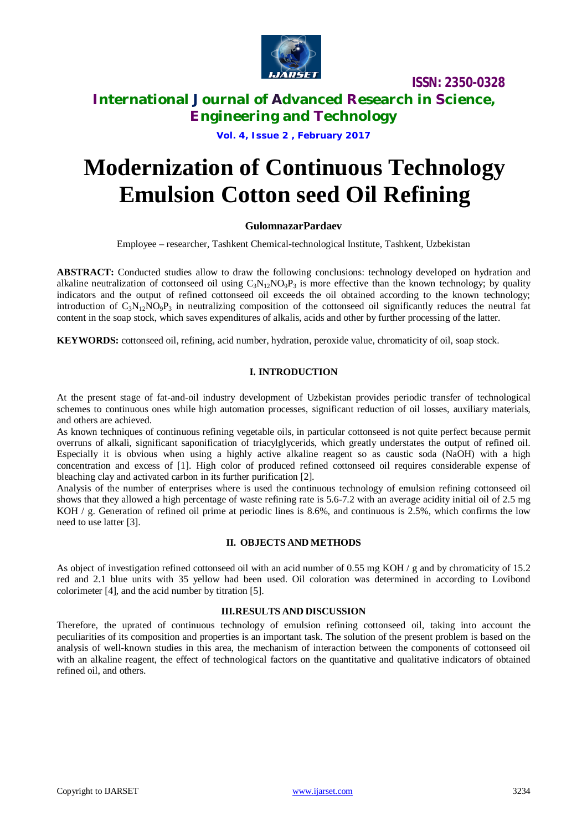

**ISSN: 2350-0328**

### **International Journal of Advanced Research in Science, Engineering and Technology**

**Vol. 4, Issue 2 , February 2017**

# **Modernization of Continuous Technology Emulsion Cotton seed Oil Refining**

#### **GulomnazarPardaev**

Employee – researcher, Tashkent Chemical-technological Institute, Tashkent, Uzbekistan

**ABSTRACT:** Conducted studies allow to draw the following conclusions: technology developed on hydration and alkaline neutralization of cottonseed oil using  $C_3N_{12}NO_9P_3$  is more effective than the known technology; by quality indicators and the output of refined cottonseed oil exceeds the oil obtained according to the known technology; introduction of  $C_3N_{12}NO_9P_3$  in neutralizing composition of the cottonseed oil significantly reduces the neutral fat content in the soap stock, which saves expenditures of alkalis, acids and other by further processing of the latter.

**KEYWORDS:** cottonseed oil, refining, acid number, hydration, peroxide value, chromaticity of oil, soap stock.

#### **I. INTRODUCTION**

At the present stage of fat-and-oil industry development of Uzbekistan provides periodic transfer of technological schemes to continuous ones while high automation processes, significant reduction of oil losses, auxiliary materials, and others are achieved.

As known techniques of continuous refining vegetable oils, in particular cottonseed is not quite perfect because permit overruns of alkali, significant saponification of triacylglycerids, which greatly understates the output of refined oil. Especially it is obvious when using a highly active alkaline reagent so as caustic soda (NaOH) with a high concentration and excess of [1]. High color of produced refined cottonseed oil requires considerable expense of bleaching clay and activated carbon in its further purification [2].

Analysis of the number of enterprises where is used the continuous technology of emulsion refining cottonseed oil shows that they allowed a high percentage of waste refining rate is 5.6-7.2 with an average acidity initial oil of 2.5 mg KOH / g. Generation of refined oil prime at periodic lines is 8.6%, and continuous is 2.5%, which confirms the low need to use latter [3].

#### **II. OBJECTS AND METHODS**

As object of investigation refined cottonseed oil with an acid number of 0.55 mg KOH / g and by chromaticity of 15.2 red and 2.1 blue units with 35 yellow had been used. Oil coloration was determined in according to Lovibond colorimeter [4], and the acid number by titration [5].

#### **III.RESULTS AND DISCUSSION**

Therefore, the uprated of continuous technology of emulsion refining cottonseed oil, taking into account the peculiarities of its composition and properties is an important task. The solution of the present problem is based on the analysis of well-known studies in this area, the mechanism of interaction between the components of cottonseed oil with an alkaline reagent, the effect of technological factors on the quantitative and qualitative indicators of obtained refined oil, and others.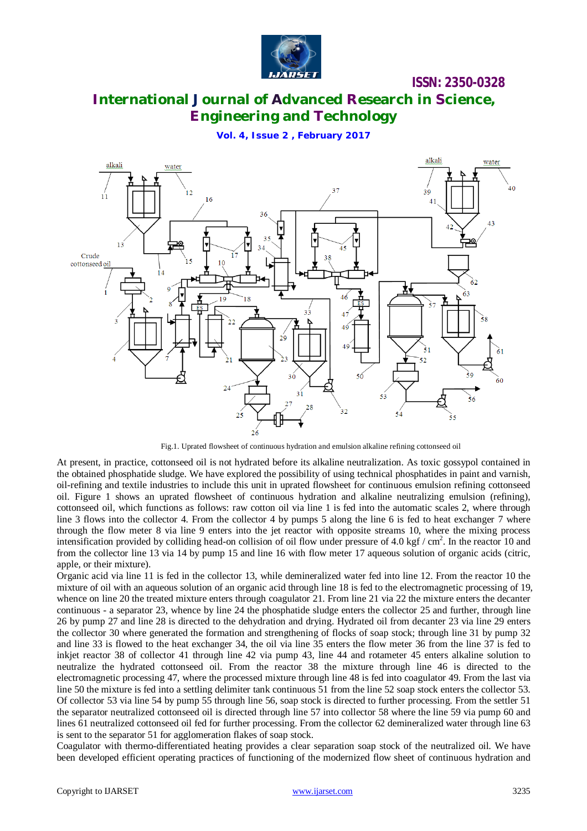

**ISSN: 2350-0328**

## **International Journal of Advanced Research in Science, Engineering and Technology**

**Vol. 4, Issue 2 , February 2017**



Fig.1. Uprated flowsheet of continuous hydration and emulsion alkaline refining cottonseed oil

At present, in practice, cottonseed oil is not hydrated before its alkaline neutralization. As toxic gossypol contained in the obtained phosphatide sludge. We have explored the possibility of using technical phosphatides in paint and varnish, oil-refining and textile industries to include this unit in uprated flowsheet for continuous emulsion refining cottonseed oil. Figure 1 shows an uprated flowsheet of continuous hydration and alkaline neutralizing emulsion (refining), cottonseed oil, which functions as follows: raw cotton oil via line 1 is fed into the automatic scales 2, where through line 3 flows into the collector 4. From the collector 4 by pumps 5 along the line 6 is fed to heat exchanger 7 where through the flow meter 8 via line 9 enters into the jet reactor with opposite streams 10, where the mixing process intensification provided by colliding head-on collision of oil flow under pressure of 4.0 kgf / cm<sup>2</sup>. In the reactor 10 and from the collector line 13 via 14 by pump 15 and line 16 with flow meter 17 aqueous solution of organic acids (citric, apple, or their mixture).

Organic acid via line 11 is fed in the collector 13, while demineralized water fed into line 12. From the reactor 10 the mixture of oil with an aqueous solution of an organic acid through line 18 is fed to the electromagnetic processing of 19, whence on line 20 the treated mixture enters through coagulator 21. From line 21 via 22 the mixture enters the decanter continuous - a separator 23, whence by line 24 the phosphatide sludge enters the collector 25 and further, through line 26 by pump 27 and line 28 is directed to the dehydration and drying. Hydrated oil from decanter 23 via line 29 enters the collector 30 where generated the formation and strengthening of flocks of soap stock; through line 31 by pump 32 and line 33 is flowed to the heat exchanger 34, the oil via line 35 enters the flow meter 36 from the line 37 is fed to inkjet reactor 38 of collector 41 through line 42 via pump 43, line 44 and rotameter 45 enters alkaline solution to neutralize the hydrated cottonseed oil. From the reactor 38 the mixture through line 46 is directed to the electromagnetic processing 47, where the processed mixture through line 48 is fed into coagulator 49. From the last via line 50 the mixture is fed into a settling delimiter tank continuous 51 from the line 52 soap stock enters the collector 53. Of collector 53 via line 54 by pump 55 through line 56, soap stock is directed to further processing. From the settler 51 the separator neutralized cottonseed oil is directed through line 57 into collector 58 where the line 59 via pump 60 and lines 61 neutralized cottonseed oil fed for further processing. From the collector 62 demineralized water through line 63 is sent to the separator 51 for agglomeration flakes of soap stock.

Coagulator with thermo-differentiated heating provides a clear separation soap stock of the neutralized oil. We have been developed efficient operating practices of functioning of the modernized flow sheet of continuous hydration and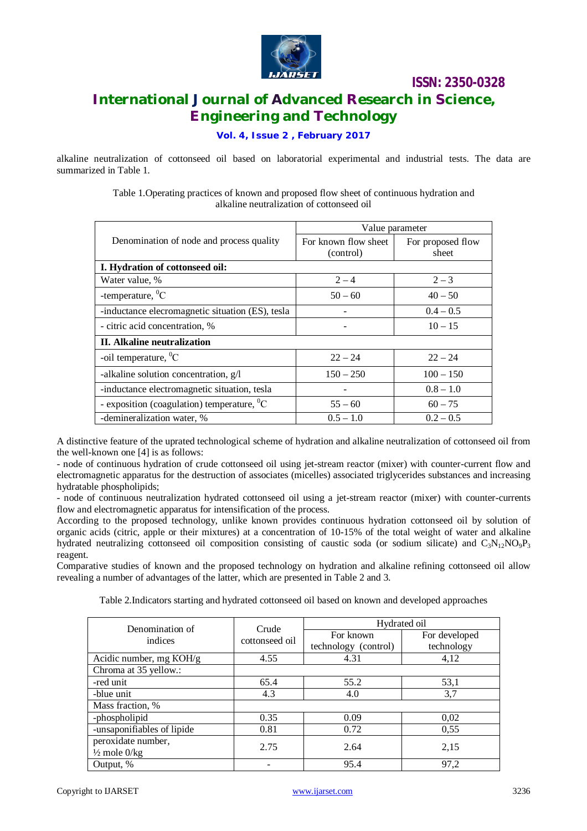

**ISSN: 2350-0328 International Journal of Advanced Research in Science, Engineering and Technology**

**Vol. 4, Issue 2 , February 2017**

alkaline neutralization of cottonseed oil based on laboratorial experimental and industrial tests. The data are summarized in Table 1.

> Table 1.Operating practices of known and proposed flow sheet of continuous hydration and alkaline neutralization of cottonseed oil

|                                                   | Value parameter                   |                            |  |  |
|---------------------------------------------------|-----------------------------------|----------------------------|--|--|
| Denomination of node and process quality          | For known flow sheet<br>(control) | For proposed flow<br>sheet |  |  |
| I. Hydration of cottonseed oil:                   |                                   |                            |  |  |
| Water value, %                                    | $2 - 4$                           | $2 - 3$                    |  |  |
| -temperature, ${}^{0}C$                           | $50 - 60$                         | $40 - 50$                  |  |  |
| -inductance elecromagnetic situation (ES), tesla  |                                   | $0.4 - 0.5$                |  |  |
| - citric acid concentration, %                    |                                   | $10 - 15$                  |  |  |
| II. Alkaline neutralization                       |                                   |                            |  |  |
| -oil temperature, $^0C$                           | $22 - 24$                         | $22 - 24$                  |  |  |
| -alkaline solution concentration, g/l             | $150 - 250$                       | $100 - 150$                |  |  |
| -inductance electromagnetic situation, tesla      |                                   | $0.8 - 1.0$                |  |  |
| - exposition (coagulation) temperature, ${}^{0}C$ | $55 - 60$                         | $60 - 75$                  |  |  |
| -demineralization water, %                        | $0.5 - 1.0$                       | $0.2 - 0.5$                |  |  |

A distinctive feature of the uprated technological scheme of hydration and alkaline neutralization of cottonseed oil from the well-known one [4] is as follows:

- node of continuous hydration of crude cottonseed oil using jet-stream reactor (mixer) with counter-current flow and electromagnetic apparatus for the destruction of associates (micelles) associated triglycerides substances and increasing hydratable phospholipids;

- node of continuous neutralization hydrated cottonseed oil using a jet-stream reactor (mixer) with counter-currents flow and electromagnetic apparatus for intensification of the process.

According to the proposed technology, unlike known provides continuous hydration cottonseed oil by solution of organic acids (citric, apple or their mixtures) at a concentration of 10-15% of the total weight of water and alkaline hydrated neutralizing cottonseed oil composition consisting of caustic soda (or sodium silicate) and  $C_3N_{12}NO_9P_3$ reagent.

Comparative studies of known and the proposed technology on hydration and alkaline refining cottonseed oil allow revealing a number of advantages of the latter, which are presented in Table 2 and 3.

Table 2.Indicators starting and hydrated cottonseed oil based on known and developed approaches

| Denomination of<br>indices | Crude<br>cottonseed oil | Hydrated oil         |               |
|----------------------------|-------------------------|----------------------|---------------|
|                            |                         | For known            | For developed |
|                            |                         | technology (control) | technology    |
| Acidic number, mg $KOH/g$  | 4.55                    | 4.31                 | 4,12          |
| Chroma at 35 yellow.:      |                         |                      |               |
| -red unit                  | 65.4                    | 55.2                 | 53,1          |
| -blue unit                 | 4.3                     | 4.0                  | 3.7           |
| Mass fraction, %           |                         |                      |               |
| -phospholipid              | 0.35                    | 0.09                 | 0,02          |
| -unsaponifiables of lipide | 0.81                    | 0.72                 | 0,55          |
| peroxidate number,         | 2.75                    | 2.64                 | 2,15          |
| $\frac{1}{2}$ mole $0$ /kg |                         |                      |               |
| Output, %                  |                         | 95.4                 | 97,2          |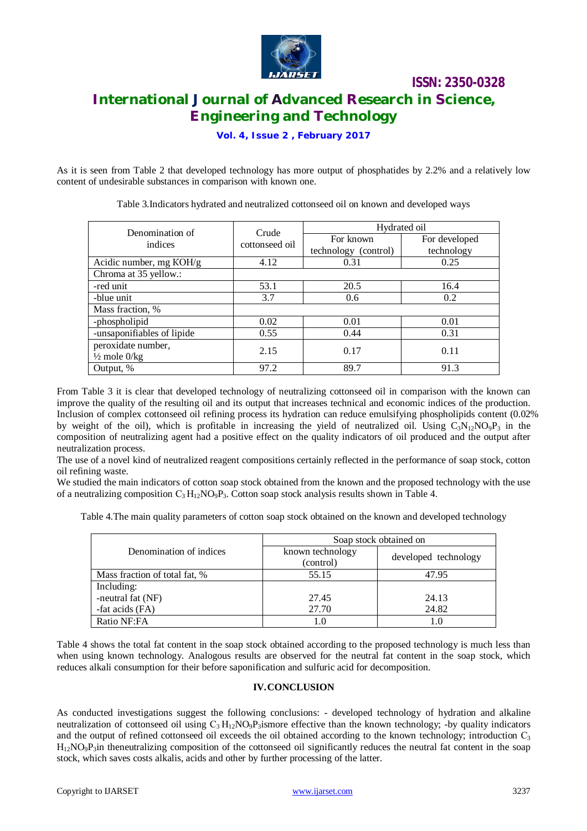

**ISSN: 2350-0328 International Journal of Advanced Research in Science, Engineering and Technology**

**Vol. 4, Issue 2 , February 2017**

As it is seen from Table 2 that developed technology has more output of phosphatides by 2.2% and a relatively low content of undesirable substances in comparison with known one.

| Denomination of<br>indices | Crude<br>cottonseed oil | Hydrated oil         |               |
|----------------------------|-------------------------|----------------------|---------------|
|                            |                         | For known            | For developed |
|                            |                         | technology (control) | technology    |
| Acidic number, mg KOH/g    | 4.12                    | 0.31                 | 0.25          |
| Chroma at 35 yellow.:      |                         |                      |               |
| -red unit                  | 53.1                    | 20.5                 | 16.4          |
| -blue unit                 | 3.7                     | 0.6                  | 0.2           |
| Mass fraction, %           |                         |                      |               |
| -phospholipid              | 0.02                    | 0.01                 | 0.01          |
| -unsaponifiables of lipide | 0.55                    | 0.44                 | 0.31          |
| peroxidate number,         | 2.15                    | 0.17                 | 0.11          |
| $\frac{1}{2}$ mole $0$ /kg |                         |                      |               |
| Output, %                  | 97.2                    | 89.7                 | 91.3          |

Table 3.Indicators hydrated and neutralized cottonseed oil on known and developed ways

From Table 3 it is clear that developed technology of neutralizing cottonseed oil in comparison with the known can improve the quality of the resulting oil and its output that increases technical and economic indices of the production. Inclusion of complex cottonseed oil refining process its hydration can reduce emulsifying phospholipids content (0.02% by weight of the oil), which is profitable in increasing the yield of neutralized oil. Using  $C_3N_{12}NO_9P_3$  in the composition of neutralizing agent had a positive effect on the quality indicators of oil produced and the output after neutralization process.

The use of a novel kind of neutralized reagent compositions certainly reflected in the performance of soap stock, cotton oil refining waste.

We studied the main indicators of cotton soap stock obtained from the known and the proposed technology with the use of a neutralizing composition  $C_3 H_{12} NO_9 P_3$ . Cotton soap stock analysis results shown in Table 4.

Table 4.The main quality parameters of cotton soap stock obtained on the known and developed technology

|                               | Soap stock obtained on        |                      |  |
|-------------------------------|-------------------------------|----------------------|--|
| Denomination of indices       | known technology<br>(control) | developed technology |  |
| Mass fraction of total fat, % | 55.15                         | 47.95                |  |
| Including:                    |                               |                      |  |
| -neutral fat (NF)             | 27.45                         | 24.13                |  |
| -fat acids (FA)               | 27.70                         | 24.82                |  |
| Ratio NF:FA                   | l.O                           | l.0                  |  |

Table 4 shows the total fat content in the soap stock obtained according to the proposed technology is much less than when using known technology. Analogous results are observed for the neutral fat content in the soap stock, which reduces alkali consumption for their before saponification and sulfuric acid for decomposition.

#### **IV.CONCLUSION**

As conducted investigations suggest the following conclusions: - developed technology of hydration and alkaline neutralization of cottonseed oil using  $C_3 H_{12} NO_9P_3$  ismore effective than the known technology; -by quality indicators and the output of refined cottonseed oil exceeds the oil obtained according to the known technology; introduction  $C_3$  $H_{12}NO_9P_3$  in theneutralizing composition of the cottonseed oil significantly reduces the neutral fat content in the soap stock, which saves costs alkalis, acids and other by further processing of the latter.